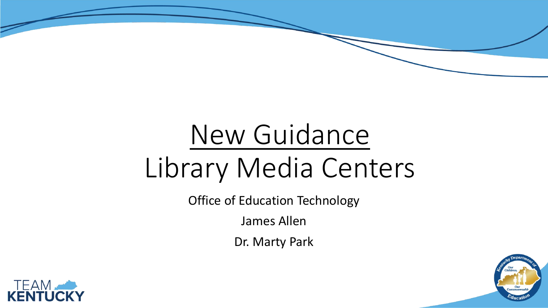# New Guidance Library Media Centers

Office of Education Technology

James Allen

Dr. Marty Park



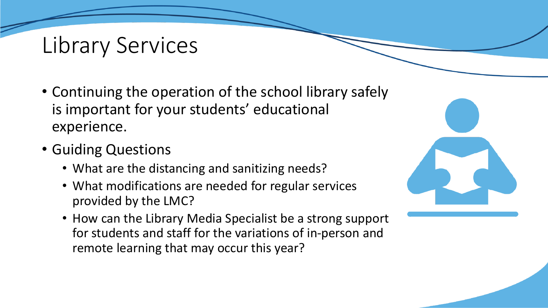## Library Services

- Continuing the operation of the school library safely is important for your students' educational experience.
- Guiding Questions
	- What are the distancing and sanitizing needs?
	- What modifications are needed for regular services provided by the LMC?
	- How can the Library Media Specialist be a strong support for students and staff for the variations of in-person and remote learning that may occur this year?

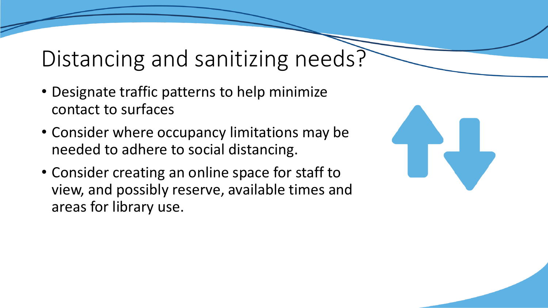## Distancing and sanitizing needs?

- Designate traffic patterns to help minimize contact to surfaces
- Consider where occupancy limitations may be needed to adhere to social distancing.
- Consider creating an online space for staff to view, and possibly reserve, available times and areas for library use.

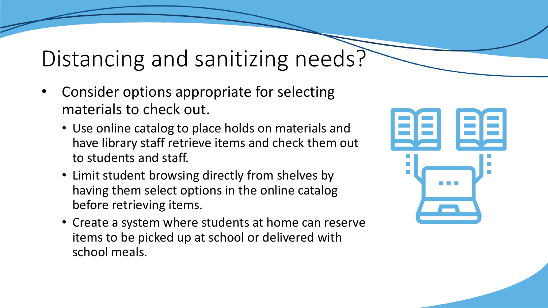## Distancing and sanitizing needs?

- Consider options appropriate for selecting materials to check out.
	- Use online catalog to place holds on materials and have library staff retrieve items and check them out to students and staff.
	- Limit student browsing directly from shelves by having them select options in the online catalog before retrieving items.
	- Create a system where students at home can reserve items to be picked up at school or delivered with school meals.

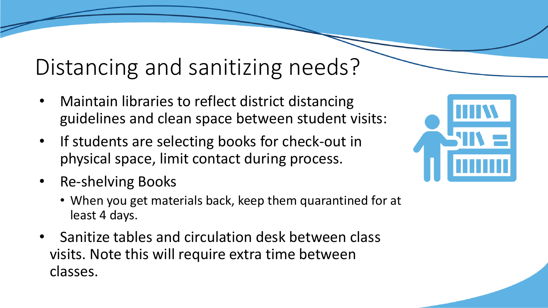## Distancing and sanitizing needs?

- Maintain libraries to reflect district distancing guidelines and clean space between student visits:
- If students are selecting books for check-out in physical space, limit contact during process.
- Re-shelving Books
	- When you get materials back, keep them quarantined for at least 4 days.
- Sanitize tables and circulation desk between class visits. Note this will require extra time between classes.

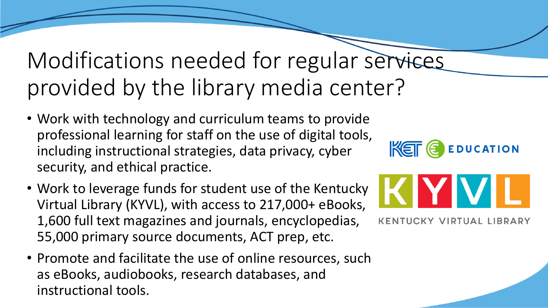## Modifications needed for regular services provided by the library media center?

- Work with technology and curriculum teams to provide professional learning for staff on the use of digital tools, including instructional strategies, data privacy, cyber security, and ethical practice.
- Work to leverage funds for student use of the Kentucky Virtual Library (KYVL), with access to 217,000+ eBooks, 1,600 full text magazines and journals, encyclopedias, 55,000 primary source documents, ACT prep, etc.
- Promote and facilitate the use of online resources, such as eBooks, audiobooks, research databases, and instructional tools.

EDUCATION  $Ker \in \mathbb{R}$ 

**KENTUCKY VIRTUAL LIBRARY** 

KIYIV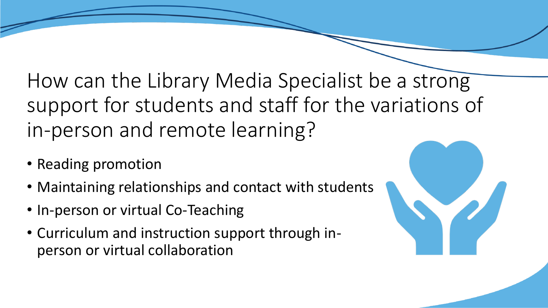How can the Library Media Specialist be a strong support for students and staff for the variations of in-person and remote learning?

- Reading promotion
- Maintaining relationships and contact with students
- In-person or virtual Co-Teaching
- Curriculum and instruction support through inperson or virtual collaboration

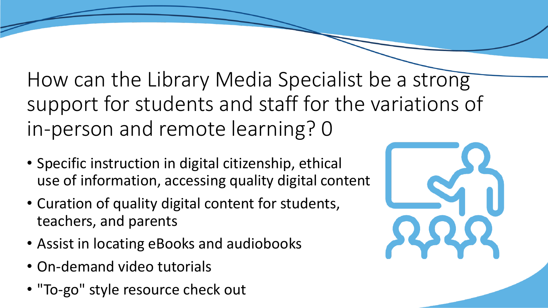How can the Library Media Specialist be a strong support for students and staff for the variations of in-person and remote learning? 0

- Specific instruction in digital citizenship, ethical use of information, accessing quality digital content
- Curation of quality digital content for students, teachers, and parents
- Assist in locating eBooks and audiobooks
- On-demand video tutorials
- "To-go" style resource check out

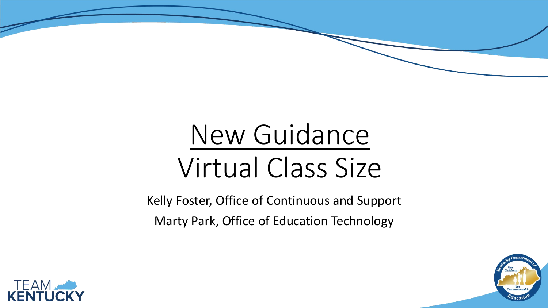# New Guidance Virtual Class Size

Kelly Foster, Office of Continuous and Support Marty Park, Office of Education Technology



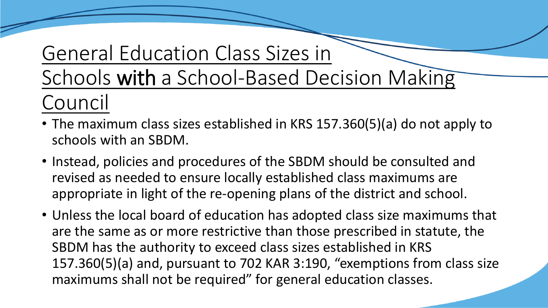## General Education Class Sizes in

Schools with a School-Based Decision Making

- Council
- The maximum class sizes established in KRS 157.360(5)(a) do not apply to schools with an SBDM.
- Instead, policies and procedures of the SBDM should be consulted and revised as needed to ensure locally established class maximums are appropriate in light of the re-opening plans of the district and school.
- Unless the local board of education has adopted class size maximums that are the same as or more restrictive than those prescribed in statute, the SBDM has the authority to exceed class sizes established in KRS 157.360(5)(a) and, pursuant to 702 KAR 3:190, "exemptions from class size maximums shall not be required" for general education classes.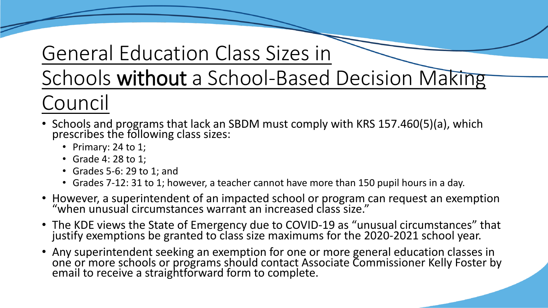### General Education Class Sizes in

### Schools without a School-Based Decision Making Council

- Schools and programs that lack an SBDM must comply with KRS 157.460(5)(a), which prescribes the following class sizes:
	- Primary: 24 to 1;
	- Grade 4: 28 to 1;
	- Grades 5-6: 29 to 1; and
	- Grades 7-12: 31 to 1; however, a teacher cannot have more than 150 pupil hours in a day.
- However, a superintendent of an impacted school or program can request an exemption "when unusual circumstances warrant an increased class size."
- The KDE views the State of Emergency due to COVID-19 as "unusual circumstances" that justify exemptions be granted to class size maximums for the 2020-2021 school year.
- Any superintendent seeking an exemption for one or more general education classes in one or more schools or programs should contact Associate Commissioner Kelly Foster by email to receive a straightforward form to complete.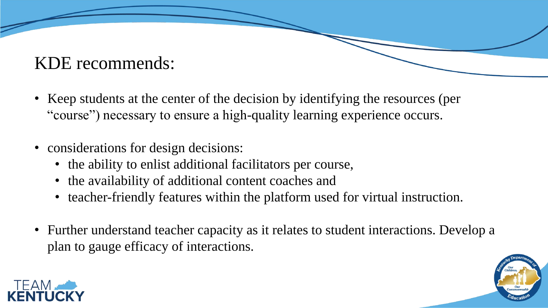#### KDE recommends:

- Keep students at the center of the decision by identifying the resources (per "course") necessary to ensure a high-quality learning experience occurs.
- considerations for design decisions:
	- the ability to enlist additional facilitators per course,
	- the availability of additional content coaches and
	- teacher-friendly features within the platform used for virtual instruction.
- Further understand teacher capacity as it relates to student interactions. Develop a plan to gauge efficacy of interactions.